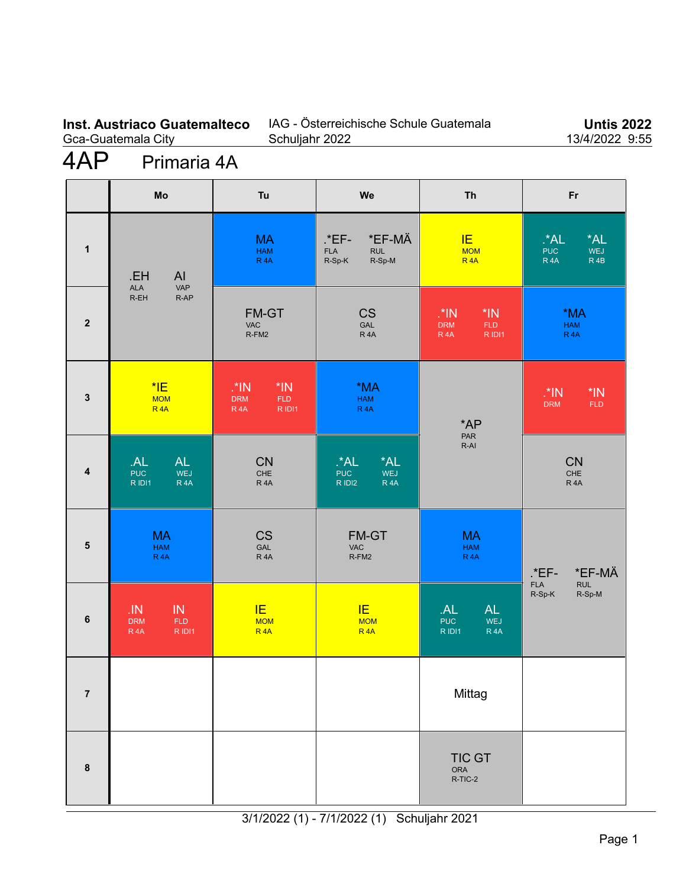#### **Inst. Austriaco Guatemalteco** Gca-Guatemala City

### IAG - Österreichische Schule Guatemala Schuljahr 2022

# 4AP Primaria 4A

|                         | Mo                                                                  | Tu                                                                       | We                                                                | <b>Th</b>                                                                    | Fr                                                                        |
|-------------------------|---------------------------------------------------------------------|--------------------------------------------------------------------------|-------------------------------------------------------------------|------------------------------------------------------------------------------|---------------------------------------------------------------------------|
| $\mathbf{1}$            | AI<br>.EH                                                           | <b>MA</b><br><b>HAM</b><br>R <sub>4</sub> A                              | *EF-MÄ<br>.*EF-<br>FLA<br><b>RUL</b><br>R-Sp-K<br>R-Sp-M          | IE.<br><b>MOM</b><br>R <sub>4</sub> A                                        | *AL<br>$A^*A$<br><b>PUC</b><br>WEJ<br>R <sub>4</sub> A<br>R <sub>4B</sub> |
| $\overline{\mathbf{2}}$ | <b>VAP</b><br><b>ALA</b><br>$R-AP$<br>R-EH                          | FM-GT<br><b>VAC</b><br>R-FM2                                             | <b>CS</b><br>GAL<br><b>R4A</b>                                    | *IN<br>$\cdot$ *IN<br><b>DRM</b><br><b>FLD</b><br>R <sub>4</sub> A<br>R IDI1 | *MA<br>HAM<br>R <sub>4</sub> A                                            |
| $\mathbf{3}$            | E<br><b>MOM</b><br><b>R4A</b>                                       | $*IN$<br>$\cdot$ "IN<br><b>FLD</b><br><b>DRM</b><br><b>R4A</b><br>R IDI1 | *MA<br><b>HAM</b><br><b>R4A</b>                                   | *AP<br>PAR<br>$R-AI$                                                         | $.$ $*$ IN<br>$*IN$<br><b>FLD</b><br><b>DRM</b>                           |
| $\overline{\mathbf{4}}$ | AL<br><b>AL</b><br><b>PUC</b><br>WEJ<br>R IDI1<br>R <sub>4</sub> A  | <b>CN</b><br>${\sf CHE}$<br>R <sub>4</sub> A                             | *AL<br>$A^*$ .<br><b>PUC</b><br>WEJ<br>R IDI2<br>R <sub>4</sub> A |                                                                              | <b>CN</b><br>${\sf CHE}$<br>R <sub>4</sub> A                              |
| $5\phantom{.0}$         | <b>MA</b><br><b>HAM</b><br>R <sub>4</sub> A                         | <b>CS</b><br>GAL<br>R <sub>4</sub> A                                     | FM-GT<br><b>VAC</b><br>R-FM2                                      | <b>MA</b><br><b>HAM</b><br>R <sub>4</sub> A                                  | *EF-MÄ<br>$*EF-$                                                          |
| $\bf 6$                 | .IN<br>IN<br><b>FLD</b><br><b>DRM</b><br>R <sub>4</sub> A<br>R IDI1 | IE<br><b>MOM</b><br><b>R4A</b>                                           | IE<br><b>MOM</b><br>R <sub>4</sub> A                              | <b>AL</b><br>AL<br><b>PUC</b><br>WEJ<br>R IDI1<br>R <sub>4</sub> A           | ${\sf FLA}$<br><b>RUL</b><br>R-Sp-K<br>R-Sp-M                             |
| $\overline{7}$          |                                                                     |                                                                          |                                                                   | Mittag                                                                       |                                                                           |
| 8                       |                                                                     |                                                                          |                                                                   | <b>TIC GT</b><br><b>ORA</b><br>R-TIC-2                                       |                                                                           |

3/1/2022 (1) - 7/1/2022 (1) Schuljahr 2021